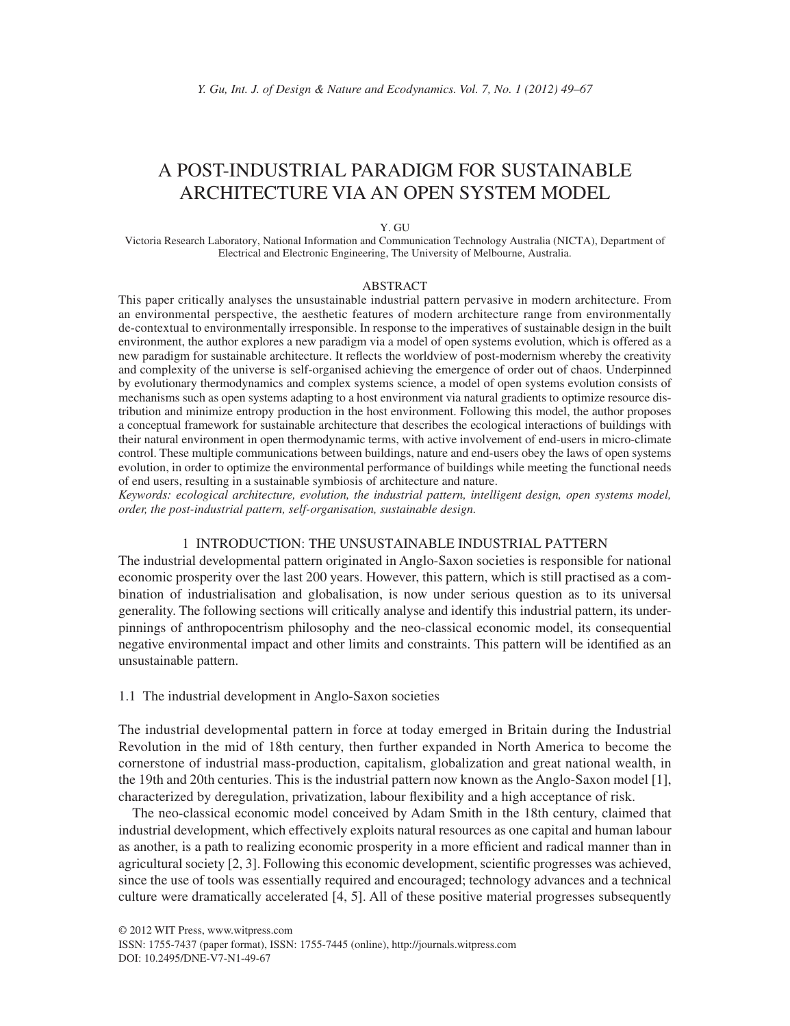# A POST-INDUSTRIAL PARADIGM FOR SUSTAINABLE ARCHITECTURE VIA AN OPEN SYSTEM MODEL

#### Y. GU

Victoria Research Laboratory, National Information and Communication Technology Australia (NICTA), Department of Electrical and Electronic Engineering, The University of Melbourne, Australia.

#### ABSTRACT

This paper critically analyses the unsustainable industrial pattern pervasive in modern architecture. From an environmental perspective, the aesthetic features of modern architecture range from environmentally de-contextual to environmentally irresponsible. In response to the imperatives of sustainable design in the built environment, the author explores a new paradigm via a model of open systems evolution, which is offered as a new paradigm for sustainable architecture. It reflects the worldview of post-modernism whereby the creativity and complexity of the universe is self-organised achieving the emergence of order out of chaos. Underpinned by evolutionary thermodynamics and complex systems science, a model of open systems evolution consists of mechanisms such as open systems adapting to a host environment via natural gradients to optimize resource distribution and minimize entropy production in the host environment. Following this model, the author proposes a conceptual framework for sustainable architecture that describes the ecological interactions of buildings with their natural environment in open thermodynamic terms, with active involvement of end-users in micro-climate control. These multiple communications between buildings, nature and end-users obey the laws of open systems evolution, in order to optimize the environmental performance of buildings while meeting the functional needs of end users, resulting in a sustainable symbiosis of architecture and nature.

*Keywords: ecological architecture, evolution, the industrial pattern, intelligent design, open systems model, order, the post-industrial pattern, self-organisation, sustainable design.*

## 1 INTRODUCTION: THE UNSUSTAINABLE INDUSTRIAL PATTERN

The industrial developmental pattern originated in Anglo-Saxon societies is responsible for national economic prosperity over the last 200 years. However, this pattern, which is still practised as a combination of industrialisation and globalisation, is now under serious question as to its universal generality. The following sections will critically analyse and identify this industrial pattern, its underpinnings of anthropocentrism philosophy and the neo-classical economic model, its consequential negative environmental impact and other limits and constraints. This pattern will be identified as an unsustainable pattern.

#### 1.1 The industrial development in Anglo-Saxon societies

The industrial developmental pattern in force at today emerged in Britain during the Industrial Revolution in the mid of 18th century, then further expanded in North America to become the cornerstone of industrial mass-production, capitalism, globalization and great national wealth, in the 19th and 20th centuries. This is the industrial pattern now known as the Anglo-Saxon model [1], characterized by deregulation, privatization, labour flexibility and a high acceptance of risk.

The neo-classical economic model conceived by Adam Smith in the 18th century, claimed that industrial development, which effectively exploits natural resources as one capital and human labour as another, is a path to realizing economic prosperity in a more efficient and radical manner than in agricultural society  $[2, 3]$ . Following this economic development, scientific progresses was achieved, since the use of tools was essentially required and encouraged; technology advances and a technical culture were dramatically accelerated [4, 5]. All of these positive material progresses subsequently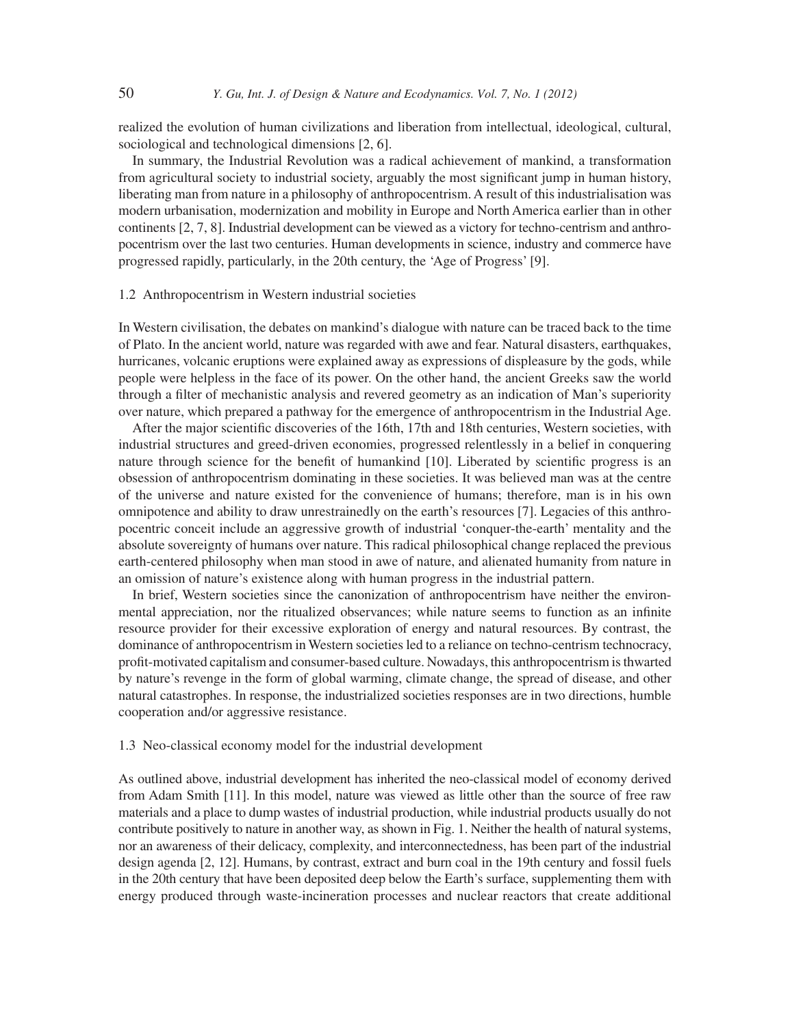realized the evolution of human civilizations and liberation from intellectual, ideological, cultural, sociological and technological dimensions [2, 6].

In summary, the Industrial Revolution was a radical achievement of mankind, a transformation from agricultural society to industrial society, arguably the most significant jump in human history, liberating man from nature in a philosophy of anthropocentrism. A result of this industrialisation was modern urbanisation, modernization and mobility in Europe and North America earlier than in other continents [2, 7, 8]. Industrial development can be viewed as a victory for techno-centrism and anthropocentrism over the last two centuries. Human developments in science, industry and commerce have progressed rapidly, particularly, in the 20th century, the 'Age of Progress' [9].

## 1.2 Anthropocentrism in Western industrial societies

In Western civilisation, the debates on mankind's dialogue with nature can be traced back to the time of Plato. In the ancient world, nature was regarded with awe and fear. Natural disasters, earthquakes, hurricanes, volcanic eruptions were explained away as expressions of displeasure by the gods, while people were helpless in the face of its power. On the other hand, the ancient Greeks saw the world through a filter of mechanistic analysis and revered geometry as an indication of Man's superiority over nature, which prepared a pathway for the emergence of anthropocentrism in the Industrial Age.

After the major scientific discoveries of the 16th, 17th and 18th centuries, Western societies, with industrial structures and greed-driven economies, progressed relentlessly in a belief in conquering nature through science for the benefit of humankind [10]. Liberated by scientific progress is an obsession of anthropocentrism dominating in these societies. It was believed man was at the centre of the universe and nature existed for the convenience of humans; therefore, man is in his own omnipotence and ability to draw unrestrainedly on the earth's resources [7]. Legacies of this anthropocentric conceit include an aggressive growth of industrial 'conquer-the-earth' mentality and the absolute sovereignty of humans over nature. This radical philosophical change replaced the previous earth-centered philosophy when man stood in awe of nature, and alienated humanity from nature in an omission of nature's existence along with human progress in the industrial pattern.

In brief, Western societies since the canonization of anthropocentrism have neither the environmental appreciation, nor the ritualized observances; while nature seems to function as an infinite resource provider for their excessive exploration of energy and natural resources. By contrast, the dominance of anthropocentrism in Western societies led to a reliance on techno-centrism technocracy, profit-motivated capitalism and consumer-based culture. Nowadays, this anthropocentrism is thwarted by nature's revenge in the form of global warming, climate change, the spread of disease, and other natural catastrophes. In response, the industrialized societies responses are in two directions, humble cooperation and/or aggressive resistance.

## 1.3 Neo-classical economy model for the industrial development

As outlined above, industrial development has inherited the neo-classical model of economy derived from Adam Smith [11]. In this model, nature was viewed as little other than the source of free raw materials and a place to dump wastes of industrial production, while industrial products usually do not contribute positively to nature in another way, as shown in Fig. 1. Neither the health of natural systems, nor an awareness of their delicacy, complexity, and interconnectedness, has been part of the industrial design agenda [2, 12]. Humans, by contrast, extract and burn coal in the 19th century and fossil fuels in the 20th century that have been deposited deep below the Earth's surface, supplementing them with energy produced through waste-incineration processes and nuclear reactors that create additional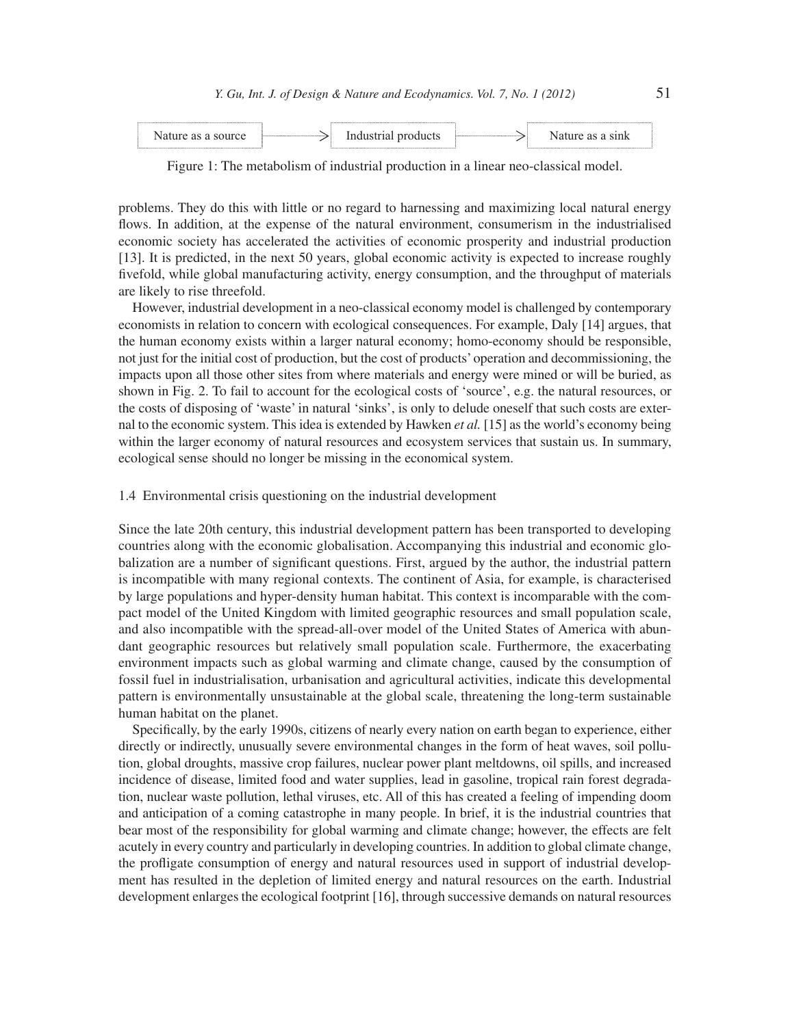| <b>COUTCA</b> | . |  |  |
|---------------|---|--|--|
|               |   |  |  |

Figure 1: The metabolism of industrial production in a linear neo-classical model.

problems. They do this with little or no regard to harnessing and maximizing local natural energy flows. In addition, at the expense of the natural environment, consumerism in the industrialised economic society has accelerated the activities of economic prosperity and industrial production [13]. It is predicted, in the next 50 years, global economic activity is expected to increase roughly fi vefold, while global manufacturing activity, energy consumption, and the throughput of materials are likely to rise threefold.

However, industrial development in a neo-classical economy model is challenged by contemporary economists in relation to concern with ecological consequences. For example, Daly [14] argues, that the human economy exists within a larger natural economy; homo-economy should be responsible, not just for the initial cost of production, but the cost of products' operation and decommissioning, the impacts upon all those other sites from where materials and energy were mined or will be buried, as shown in Fig. 2. To fail to account for the ecological costs of 'source', e.g. the natural resources, or the costs of disposing of 'waste' in natural 'sinks', is only to delude oneself that such costs are external to the economic system. This idea is extended by Hawken *et al.* [15] as the world's economy being within the larger economy of natural resources and ecosystem services that sustain us. In summary, ecological sense should no longer be missing in the economical system.

## 1.4 Environmental crisis questioning on the industrial development

Since the late 20th century, this industrial development pattern has been transported to developing countries along with the economic globalisation. Accompanying this industrial and economic globalization are a number of significant questions. First, argued by the author, the industrial pattern is incompatible with many regional contexts. The continent of Asia, for example, is characterised by large populations and hyper-density human habitat. This context is incomparable with the compact model of the United Kingdom with limited geographic resources and small population scale, and also incompatible with the spread-all-over model of the United States of America with abundant geographic resources but relatively small population scale. Furthermore, the exacerbating environment impacts such as global warming and climate change, caused by the consumption of fossil fuel in industrialisation, urbanisation and agricultural activities, indicate this developmental pattern is environmentally unsustainable at the global scale, threatening the long-term sustainable human habitat on the planet.

Specifically, by the early 1990s, citizens of nearly every nation on earth began to experience, either directly or indirectly, unusually severe environmental changes in the form of heat waves, soil pollution, global droughts, massive crop failures, nuclear power plant meltdowns, oil spills, and increased incidence of disease, limited food and water supplies, lead in gasoline, tropical rain forest degradation, nuclear waste pollution, lethal viruses, etc. All of this has created a feeling of impending doom and anticipation of a coming catastrophe in many people. In brief, it is the industrial countries that bear most of the responsibility for global warming and climate change; however, the effects are felt acutely in every country and particularly in developing countries. In addition to global climate change, the profligate consumption of energy and natural resources used in support of industrial development has resulted in the depletion of limited energy and natural resources on the earth. Industrial development enlarges the ecological footprint [16], through successive demands on natural resources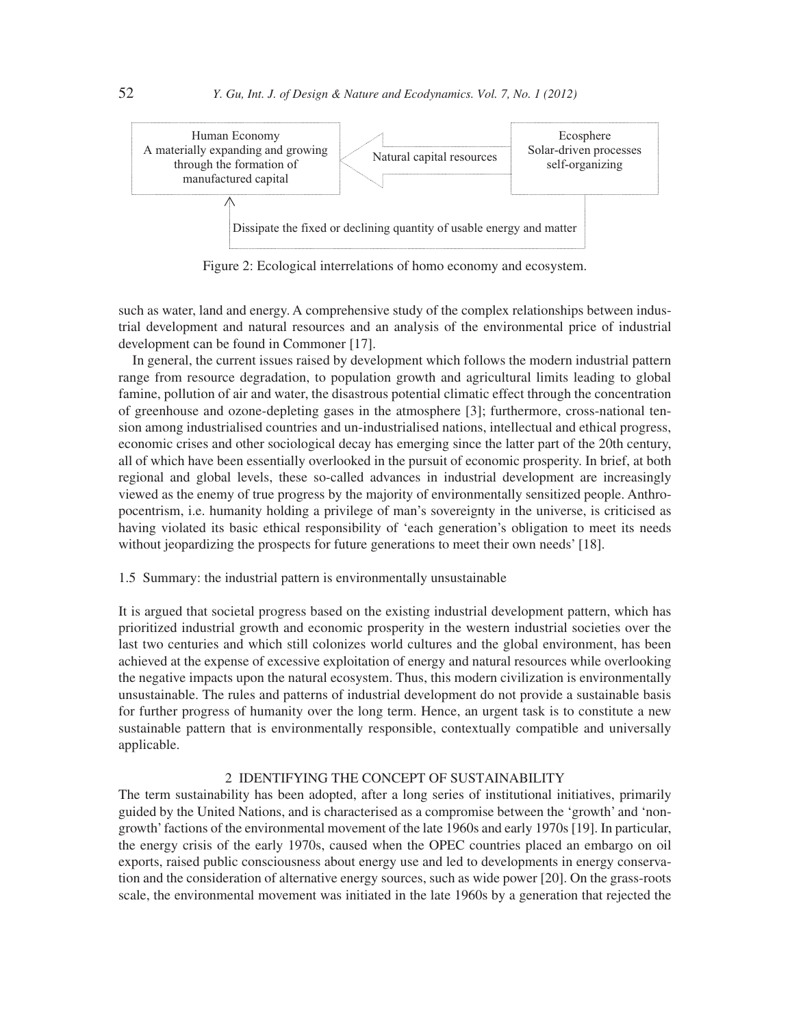

Figure 2: Ecological interrelations of homo economy and ecosystem.

such as water, land and energy. A comprehensive study of the complex relationships between industrial development and natural resources and an analysis of the environmental price of industrial development can be found in Commoner [17].

In general, the current issues raised by development which follows the modern industrial pattern range from resource degradation, to population growth and agricultural limits leading to global famine, pollution of air and water, the disastrous potential climatic effect through the concentration of greenhouse and ozone-depleting gases in the atmosphere [3]; furthermore, cross-national tension among industrialised countries and un-industrialised nations, intellectual and ethical progress, economic crises and other sociological decay has emerging since the latter part of the 20th century, all of which have been essentially overlooked in the pursuit of economic prosperity. In brief, at both regional and global levels, these so-called advances in industrial development are increasingly viewed as the enemy of true progress by the majority of environmentally sensitized people. Anthropocentrism, i.e. humanity holding a privilege of man's sovereignty in the universe, is criticised as having violated its basic ethical responsibility of 'each generation's obligation to meet its needs without jeopardizing the prospects for future generations to meet their own needs' [18].

## 1.5 Summary: the industrial pattern is environmentally unsustainable

It is argued that societal progress based on the existing industrial development pattern, which has prioritized industrial growth and economic prosperity in the western industrial societies over the last two centuries and which still colonizes world cultures and the global environment, has been achieved at the expense of excessive exploitation of energy and natural resources while overlooking the negative impacts upon the natural ecosystem. Thus, this modern civilization is environmentally unsustainable. The rules and patterns of industrial development do not provide a sustainable basis for further progress of humanity over the long term. Hence, an urgent task is to constitute a new sustainable pattern that is environmentally responsible, contextually compatible and universally applicable.

# 2 IDENTIFYING THE CONCEPT OF SUSTAINABILITY

The term sustainability has been adopted, after a long series of institutional initiatives, primarily guided by the United Nations, and is characterised as a compromise between the 'growth' and 'nongrowth' factions of the environmental movement of the late 1960s and early 1970s [19]. In particular, the energy crisis of the early 1970s, caused when the OPEC countries placed an embargo on oil exports, raised public consciousness about energy use and led to developments in energy conservation and the consideration of alternative energy sources, such as wide power [20]. On the grass-roots scale, the environmental movement was initiated in the late 1960s by a generation that rejected the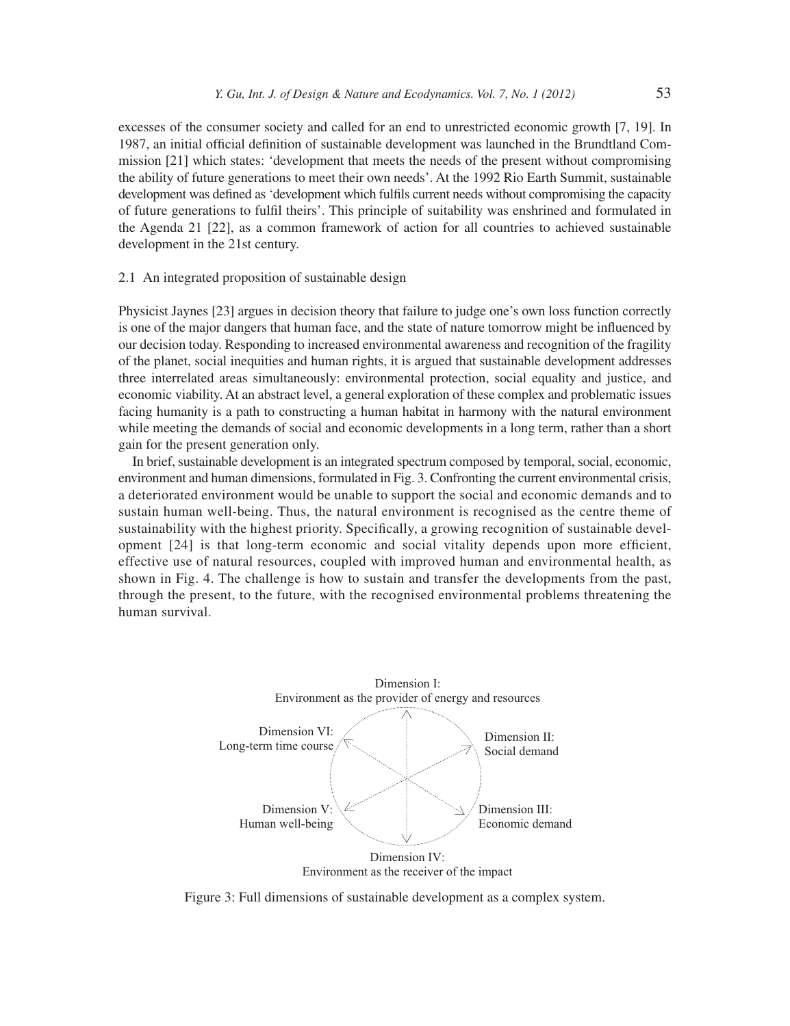excesses of the consumer society and called for an end to unrestricted economic growth [7, 19]. In 1987, an initial official definition of sustainable development was launched in the Brundtland Commission [21] which states: 'development that meets the needs of the present without compromising the ability of future generations to meet their own needs'. At the 1992 Rio Earth Summit, sustainable development was defined as 'development which fulfils current needs without compromising the capacity of future generations to fulfi l theirs'. This principle of suitability was enshrined and formulated in the Agenda 21 [22], as a common framework of action for all countries to achieved sustainable development in the 21st century.

## 2.1 An integrated proposition of sustainable design

Physicist Jaynes [23] argues in decision theory that failure to judge one's own loss function correctly is one of the major dangers that human face, and the state of nature tomorrow might be influenced by our decision today. Responding to increased environmental awareness and recognition of the fragility of the planet, social inequities and human rights, it is argued that sustainable development addresses three interrelated areas simultaneously: environmental protection, social equality and justice, and economic viability. At an abstract level, a general exploration of these complex and problematic issues facing humanity is a path to constructing a human habitat in harmony with the natural environment while meeting the demands of social and economic developments in a long term, rather than a short gain for the present generation only.

In brief, sustainable development is an integrated spectrum composed by temporal, social, economic, environment and human dimensions, formulated in Fig. 3. Confronting the current environmental crisis, a deteriorated environment would be unable to support the social and economic demands and to sustain human well-being. Thus, the natural environment is recognised as the centre theme of sustainability with the highest priority. Specifically, a growing recognition of sustainable development  $[24]$  is that long-term economic and social vitality depends upon more efficient, effective use of natural resources, coupled with improved human and environmental health, as shown in Fig. 4. The challenge is how to sustain and transfer the developments from the past, through the present, to the future, with the recognised environmental problems threatening the human survival.



Figure 3: Full dimensions of sustainable development as a complex system.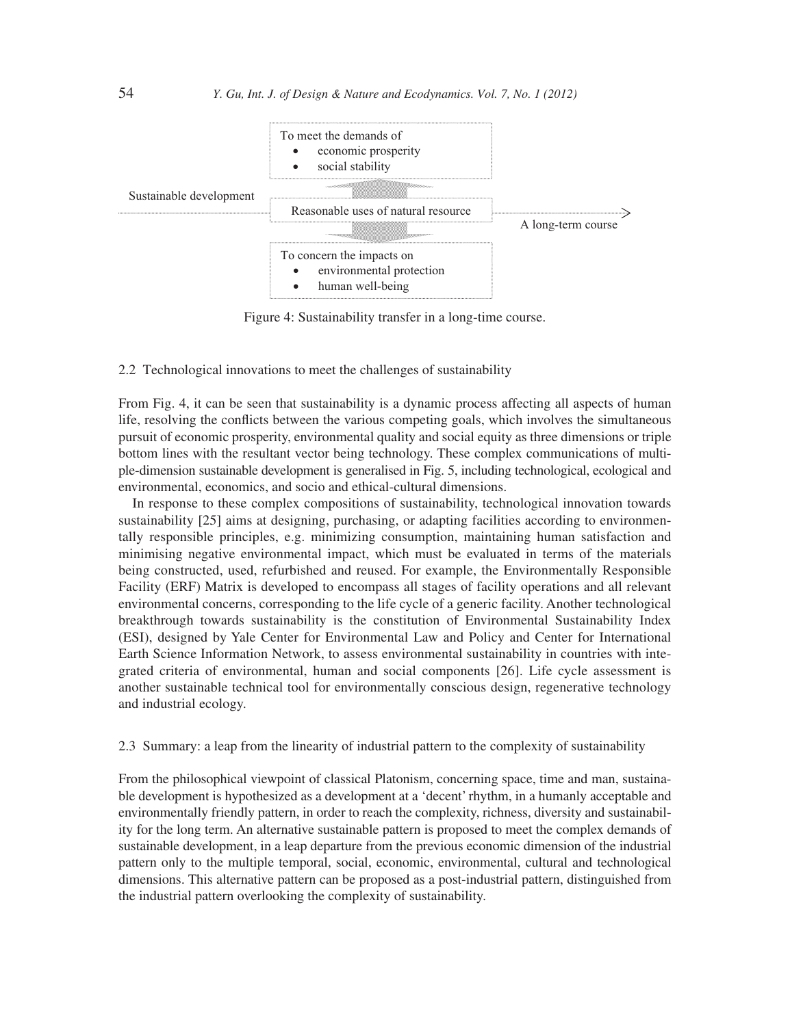

Figure 4: Sustainability transfer in a long-time course.

# 2.2 Technological innovations to meet the challenges of sustainability

From Fig. 4, it can be seen that sustainability is a dynamic process affecting all aspects of human life, resolving the conflicts between the various competing goals, which involves the simultaneous pursuit of economic prosperity, environmental quality and social equity as three dimensions or triple bottom lines with the resultant vector being technology. These complex communications of multiple-dimension sustainable development is generalised in Fig. 5, including technological, ecological and environmental, economics, and socio and ethical-cultural dimensions.

In response to these complex compositions of sustainability, technological innovation towards sustainability [25] aims at designing, purchasing, or adapting facilities according to environmentally responsible principles, e.g. minimizing consumption, maintaining human satisfaction and minimising negative environmental impact, which must be evaluated in terms of the materials being constructed, used, refurbished and reused. For example, the Environmentally Responsible Facility (ERF) Matrix is developed to encompass all stages of facility operations and all relevant environmental concerns, corresponding to the life cycle of a generic facility. Another technological breakthrough towards sustainability is the constitution of Environmental Sustainability Index (ESI), designed by Yale Center for Environmental Law and Policy and Center for International Earth Science Information Network, to assess environmental sustainability in countries with integrated criteria of environmental, human and social components [26]. Life cycle assessment is another sustainable technical tool for environmentally conscious design, regenerative technology and industrial ecology.

## 2.3 Summary: a leap from the linearity of industrial pattern to the complexity of sustainability

From the philosophical viewpoint of classical Platonism, concerning space, time and man, sustainable development is hypothesized as a development at a 'decent' rhythm, in a humanly acceptable and environmentally friendly pattern, in order to reach the complexity, richness, diversity and sustainability for the long term. An alternative sustainable pattern is proposed to meet the complex demands of sustainable development, in a leap departure from the previous economic dimension of the industrial pattern only to the multiple temporal, social, economic, environmental, cultural and technological dimensions. This alternative pattern can be proposed as a post-industrial pattern, distinguished from the industrial pattern overlooking the complexity of sustainability.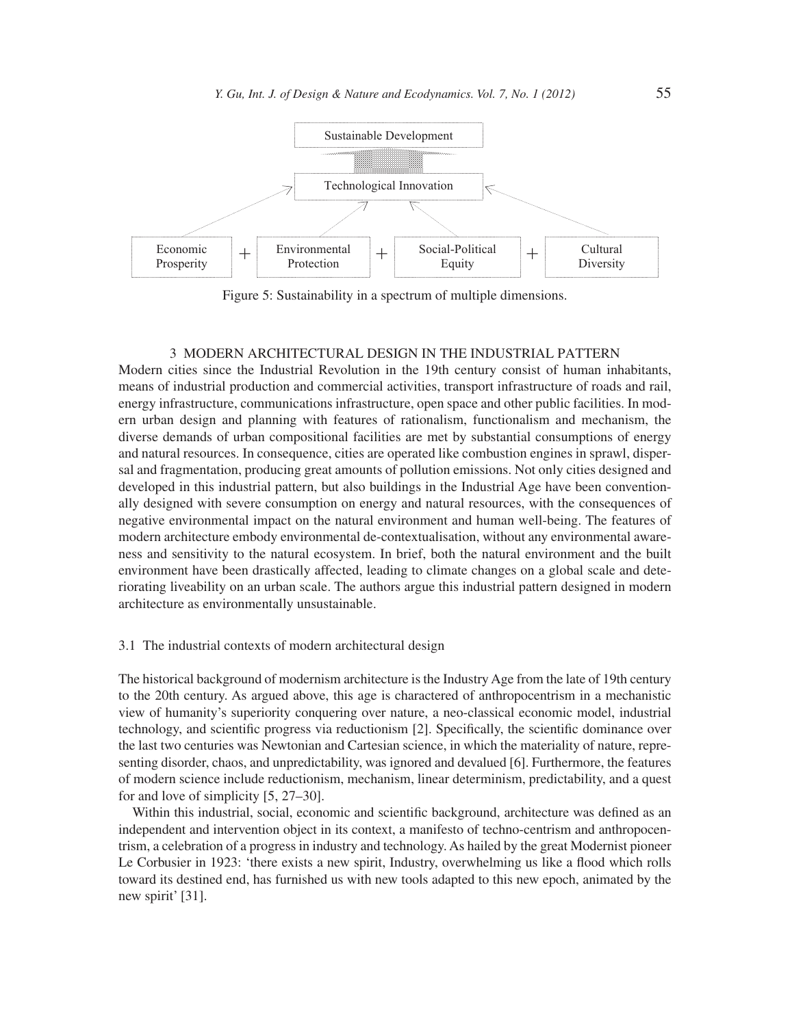

Figure 5: Sustainability in a spectrum of multiple dimensions.

#### 3 MODERN ARCHITECTURAL DESIGN IN THE INDUSTRIAL PATTERN

Modern cities since the Industrial Revolution in the 19th century consist of human inhabitants, means of industrial production and commercial activities, transport infrastructure of roads and rail, energy infrastructure, communications infrastructure, open space and other public facilities. In modern urban design and planning with features of rationalism, functionalism and mechanism, the diverse demands of urban compositional facilities are met by substantial consumptions of energy and natural resources. In consequence, cities are operated like combustion engines in sprawl, dispersal and fragmentation, producing great amounts of pollution emissions. Not only cities designed and developed in this industrial pattern, but also buildings in the Industrial Age have been conventionally designed with severe consumption on energy and natural resources, with the consequences of negative environmental impact on the natural environment and human well-being. The features of modern architecture embody environmental de-contextualisation, without any environmental awareness and sensitivity to the natural ecosystem. In brief, both the natural environment and the built environment have been drastically affected, leading to climate changes on a global scale and deteriorating liveability on an urban scale. The authors argue this industrial pattern designed in modern architecture as environmentally unsustainable.

## 3.1 The industrial contexts of modern architectural design

The historical background of modernism architecture is the Industry Age from the late of 19th century to the 20th century. As argued above, this age is charactered of anthropocentrism in a mechanistic view of humanity's superiority conquering over nature, a neo-classical economic model, industrial technology, and scientific progress via reductionism [2]. Specifically, the scientific dominance over the last two centuries was Newtonian and Cartesian science, in which the materiality of nature, representing disorder, chaos, and unpredictability, was ignored and devalued [6]. Furthermore, the features of modern science include reductionism, mechanism, linear determinism, predictability, and a quest for and love of simplicity [5, 27–30].

Within this industrial, social, economic and scientific background, architecture was defined as an independent and intervention object in its context, a manifesto of techno-centrism and anthropocentrism, a celebration of a progress in industry and technology. As hailed by the great Modernist pioneer Le Corbusier in 1923: 'there exists a new spirit, Industry, overwhelming us like a flood which rolls toward its destined end, has furnished us with new tools adapted to this new epoch, animated by the new spirit' [31].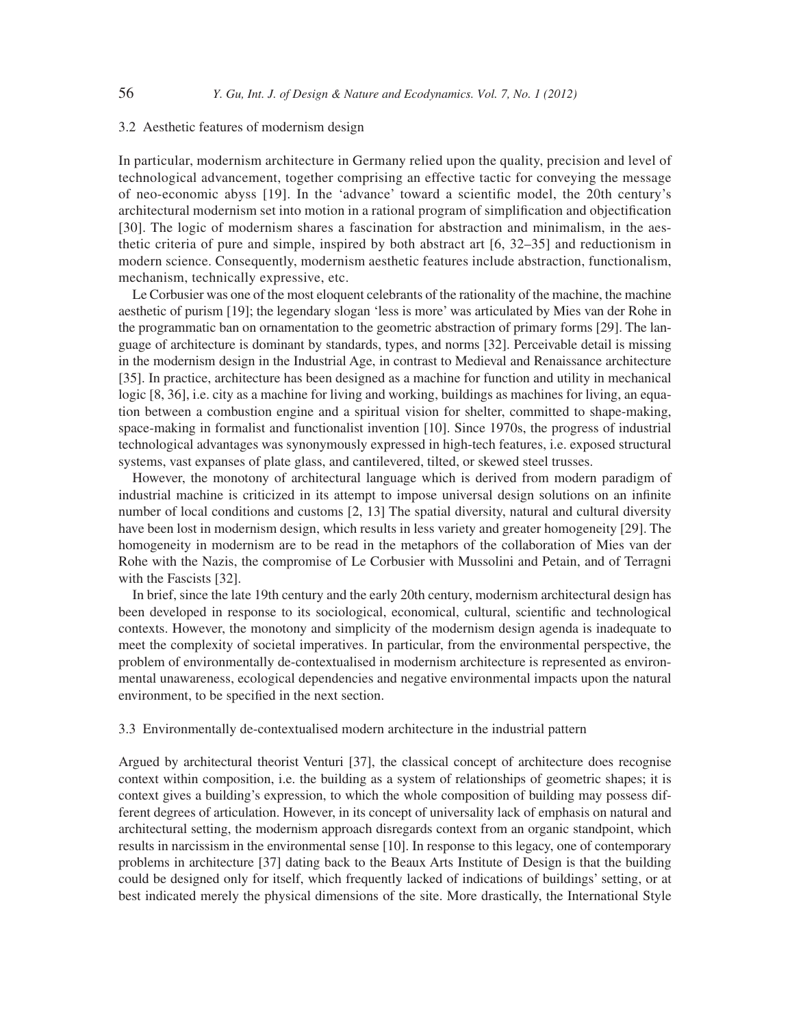## 3.2 Aesthetic features of modernism design

In particular, modernism architecture in Germany relied upon the quality, precision and level of technological advancement, together comprising an effective tactic for conveying the message of neo-economic abyss [19]. In the 'advance' toward a scientifi c model, the 20th century's architectural modernism set into motion in a rational program of simplification and objectification [30]. The logic of modernism shares a fascination for abstraction and minimalism, in the aesthetic criteria of pure and simple, inspired by both abstract art [6, 32–35] and reductionism in modern science. Consequently, modernism aesthetic features include abstraction, functionalism, mechanism, technically expressive, etc.

Le Corbusier was one of the most eloquent celebrants of the rationality of the machine, the machine aesthetic of purism [19]; the legendary slogan 'less is more' was articulated by Mies van der Rohe in the programmatic ban on ornamentation to the geometric abstraction of primary forms [29]. The language of architecture is dominant by standards, types, and norms [32]. Perceivable detail is missing in the modernism design in the Industrial Age, in contrast to Medieval and Renaissance architecture [35]. In practice, architecture has been designed as a machine for function and utility in mechanical logic [8, 36], i.e. city as a machine for living and working, buildings as machines for living, an equation between a combustion engine and a spiritual vision for shelter, committed to shape-making, space-making in formalist and functionalist invention [10]. Since 1970s, the progress of industrial technological advantages was synonymously expressed in high-tech features, i.e. exposed structural systems, vast expanses of plate glass, and cantilevered, tilted, or skewed steel trusses.

However, the monotony of architectural language which is derived from modern paradigm of industrial machine is criticized in its attempt to impose universal design solutions on an infinite number of local conditions and customs [2, 13] The spatial diversity, natural and cultural diversity have been lost in modernism design, which results in less variety and greater homogeneity [29]. The homogeneity in modernism are to be read in the metaphors of the collaboration of Mies van der Rohe with the Nazis, the compromise of Le Corbusier with Mussolini and Petain, and of Terragni with the Fascists [32].

In brief, since the late 19th century and the early 20th century, modernism architectural design has been developed in response to its sociological, economical, cultural, scientific and technological contexts. However, the monotony and simplicity of the modernism design agenda is inadequate to meet the complexity of societal imperatives. In particular, from the environmental perspective, the problem of environmentally de-contextualised in modernism architecture is represented as environmental unawareness, ecological dependencies and negative environmental impacts upon the natural environment, to be specified in the next section.

## 3.3 Environmentally de-contextualised modern architecture in the industrial pattern

Argued by architectural theorist Venturi [37], the classical concept of architecture does recognise context within composition, i.e. the building as a system of relationships of geometric shapes; it is context gives a building's expression, to which the whole composition of building may possess different degrees of articulation. However, in its concept of universality lack of emphasis on natural and architectural setting, the modernism approach disregards context from an organic standpoint, which results in narcissism in the environmental sense [10]. In response to this legacy, one of contemporary problems in architecture [37] dating back to the Beaux Arts Institute of Design is that the building could be designed only for itself, which frequently lacked of indications of buildings' setting, or at best indicated merely the physical dimensions of the site. More drastically, the International Style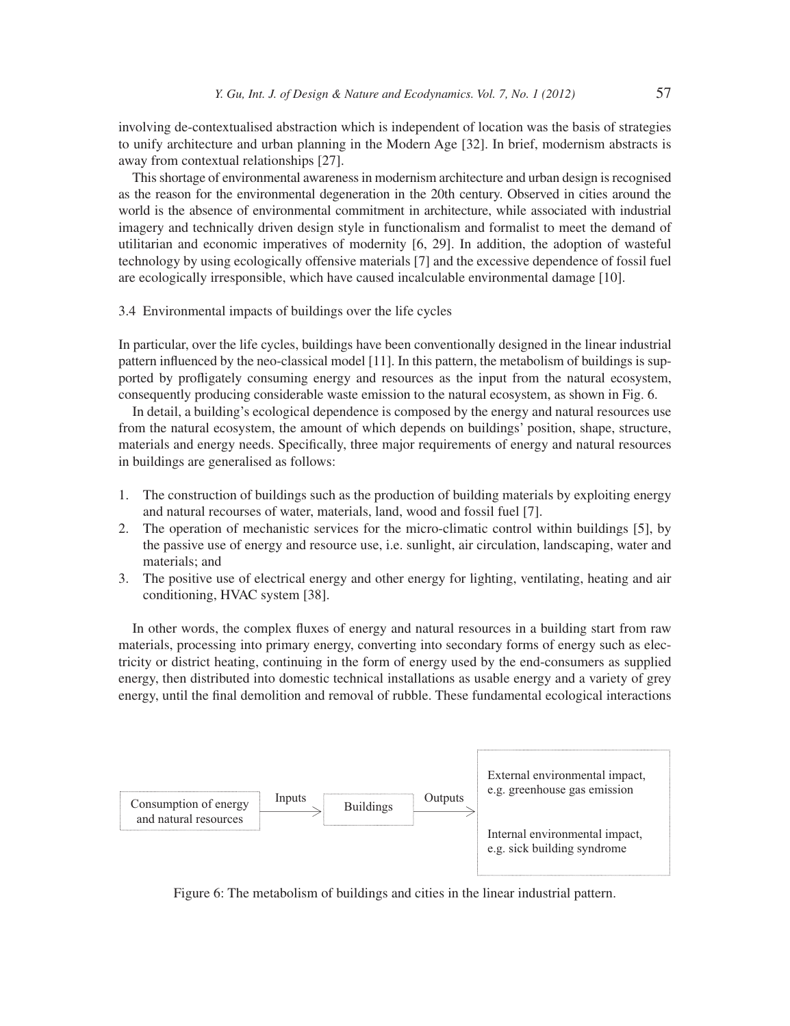involving de-contextualised abstraction which is independent of location was the basis of strategies to unify architecture and urban planning in the Modern Age [32]. In brief, modernism abstracts is away from contextual relationships [27].

This shortage of environmental awareness in modernism architecture and urban design is recognised as the reason for the environmental degeneration in the 20th century. Observed in cities around the world is the absence of environmental commitment in architecture, while associated with industrial imagery and technically driven design style in functionalism and formalist to meet the demand of utilitarian and economic imperatives of modernity [6, 29]. In addition, the adoption of wasteful technology by using ecologically offensive materials [7] and the excessive dependence of fossil fuel are ecologically irresponsible, which have caused incalculable environmental damage [10].

3.4 Environmental impacts of buildings over the life cycles

In particular, over the life cycles, buildings have been conventionally designed in the linear industrial pattern influenced by the neo-classical model [11]. In this pattern, the metabolism of buildings is supported by profligately consuming energy and resources as the input from the natural ecosystem, consequently producing considerable waste emission to the natural ecosystem, as shown in Fig. 6.

In detail, a building's ecological dependence is composed by the energy and natural resources use from the natural ecosystem, the amount of which depends on buildings' position, shape, structure, materials and energy needs. Specifically, three major requirements of energy and natural resources in buildings are generalised as follows:

- 1. The construction of buildings such as the production of building materials by exploiting energy and natural recourses of water, materials, land, wood and fossil fuel [7].
- 2. The operation of mechanistic services for the micro-climatic control within buildings [5], by the passive use of energy and resource use, i.e. sunlight, air circulation, landscaping, water and materials; and
- 3. The positive use of electrical energy and other energy for lighting, ventilating, heating and air conditioning, HVAC system [38].

In other words, the complex fluxes of energy and natural resources in a building start from raw materials, processing into primary energy, converting into secondary forms of energy such as electricity or district heating, continuing in the form of energy used by the end-consumers as supplied energy, then distributed into domestic technical installations as usable energy and a variety of grey energy, until the final demolition and removal of rubble. These fundamental ecological interactions



Figure 6: The metabolism of buildings and cities in the linear industrial pattern.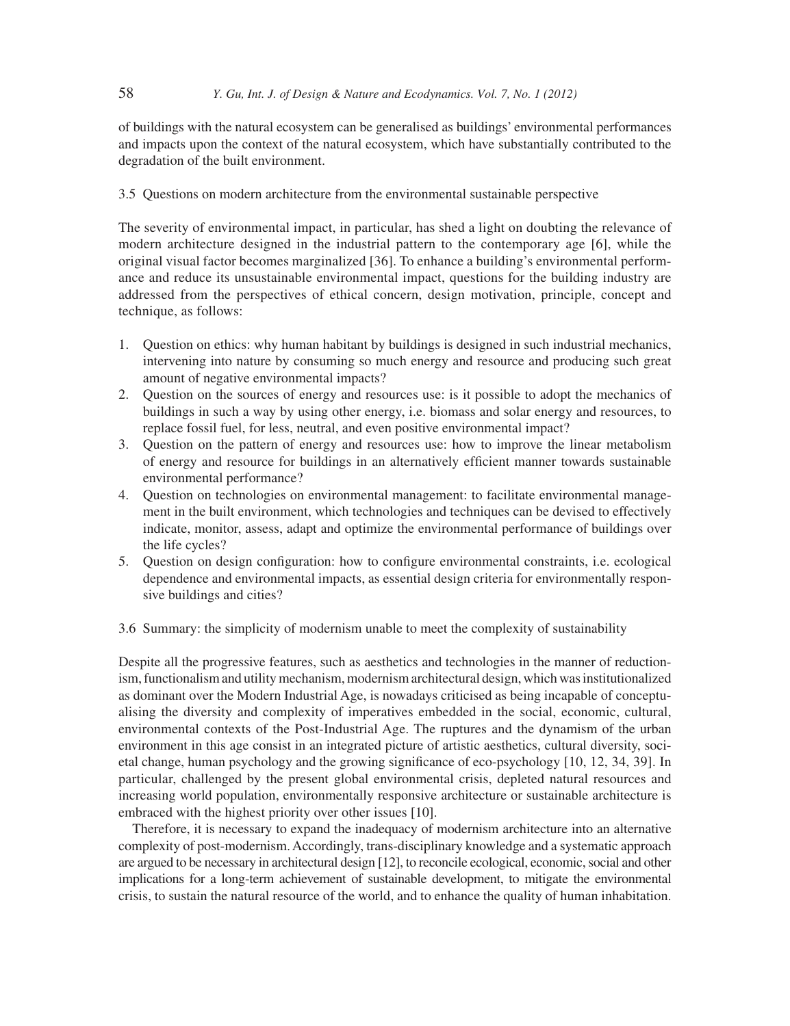of buildings with the natural ecosystem can be generalised as buildings' environmental performances and impacts upon the context of the natural ecosystem, which have substantially contributed to the degradation of the built environment.

# 3.5 Questions on modern architecture from the environmental sustainable perspective

The severity of environmental impact, in particular, has shed a light on doubting the relevance of modern architecture designed in the industrial pattern to the contemporary age [6], while the original visual factor becomes marginalized [36]. To enhance a building's environmental performance and reduce its unsustainable environmental impact, questions for the building industry are addressed from the perspectives of ethical concern, design motivation, principle, concept and technique, as follows:

- 1. Question on ethics: why human habitant by buildings is designed in such industrial mechanics, intervening into nature by consuming so much energy and resource and producing such great amount of negative environmental impacts?
- 2. Question on the sources of energy and resources use: is it possible to adopt the mechanics of buildings in such a way by using other energy, i.e. biomass and solar energy and resources, to replace fossil fuel, for less, neutral, and even positive environmental impact?
- 3. Question on the pattern of energy and resources use: how to improve the linear metabolism of energy and resource for buildings in an alternatively efficient manner towards sustainable environmental performance?
- 4. Question on technologies on environmental management: to facilitate environmental management in the built environment, which technologies and techniques can be devised to effectively indicate, monitor, assess, adapt and optimize the environmental performance of buildings over the life cycles?
- 5. Question on design configuration: how to configure environmental constraints, i.e. ecological dependence and environmental impacts, as essential design criteria for environmentally responsive buildings and cities?
- 3.6 Summary: the simplicity of modernism unable to meet the complexity of sustainability

Despite all the progressive features, such as aesthetics and technologies in the manner of reductionism, functionalism and utility mechanism, modernism architectural design, which was institutionalized as dominant over the Modern Industrial Age, is nowadays criticised as being incapable of conceptualising the diversity and complexity of imperatives embedded in the social, economic, cultural, environmental contexts of the Post-Industrial Age. The ruptures and the dynamism of the urban environment in this age consist in an integrated picture of artistic aesthetics, cultural diversity, societal change, human psychology and the growing significance of eco-psychology [10, 12, 34, 39]. In particular, challenged by the present global environmental crisis, depleted natural resources and increasing world population, environmentally responsive architecture or sustainable architecture is embraced with the highest priority over other issues [10].

Therefore, it is necessary to expand the inadequacy of modernism architecture into an alternative complexity of post-modernism. Accordingly, trans-disciplinary knowledge and a systematic approach are argued to be necessary in architectural design [12], to reconcile ecological, economic, social and other implications for a long-term achievement of sustainable development, to mitigate the environmental crisis, to sustain the natural resource of the world, and to enhance the quality of human inhabitation.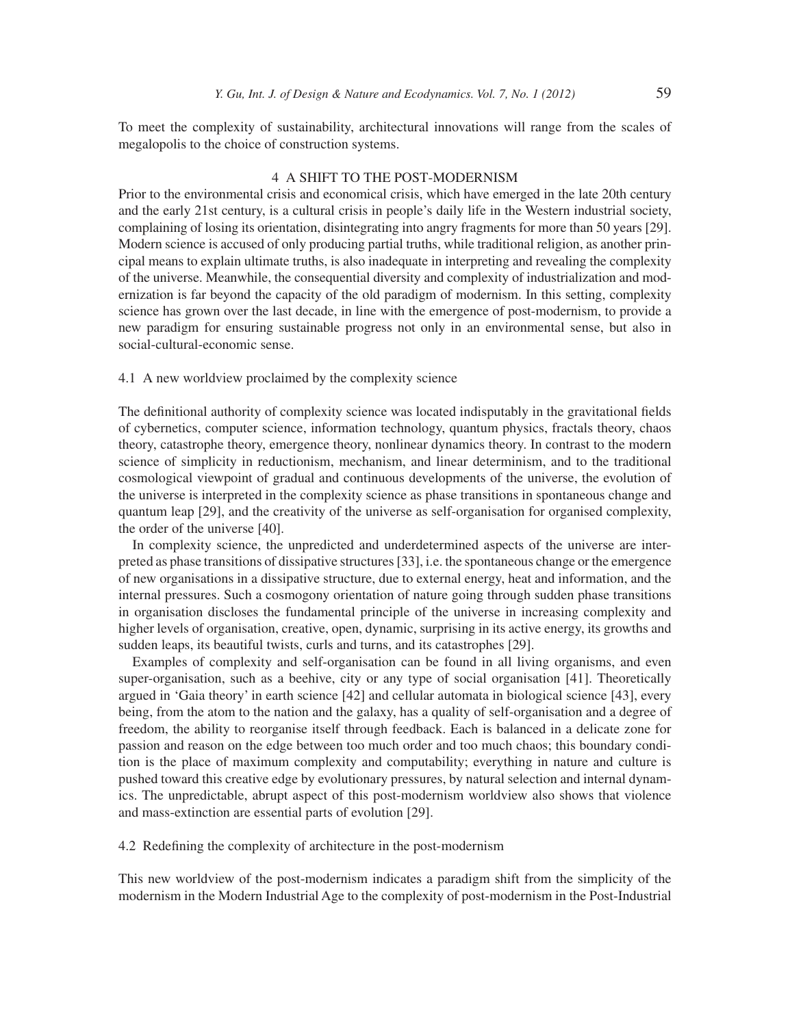To meet the complexity of sustainability, architectural innovations will range from the scales of megalopolis to the choice of construction systems.

## 4 A SHIFT TO THE POST-MODERNISM

Prior to the environmental crisis and economical crisis, which have emerged in the late 20th century and the early 21st century, is a cultural crisis in people's daily life in the Western industrial society, complaining of losing its orientation, disintegrating into angry fragments for more than 50 years [29]. Modern science is accused of only producing partial truths, while traditional religion, as another principal means to explain ultimate truths, is also inadequate in interpreting and revealing the complexity of the universe. Meanwhile, the consequential diversity and complexity of industrialization and modernization is far beyond the capacity of the old paradigm of modernism. In this setting, complexity science has grown over the last decade, in line with the emergence of post-modernism, to provide a new paradigm for ensuring sustainable progress not only in an environmental sense, but also in social-cultural-economic sense.

## 4.1 A new worldview proclaimed by the complexity science

The definitional authority of complexity science was located indisputably in the gravitational fields of cybernetics, computer science, information technology, quantum physics, fractals theory, chaos theory, catastrophe theory, emergence theory, nonlinear dynamics theory. In contrast to the modern science of simplicity in reductionism, mechanism, and linear determinism, and to the traditional cosmological viewpoint of gradual and continuous developments of the universe, the evolution of the universe is interpreted in the complexity science as phase transitions in spontaneous change and quantum leap [29], and the creativity of the universe as self-organisation for organised complexity, the order of the universe [40].

In complexity science, the unpredicted and underdetermined aspects of the universe are interpreted as phase transitions of dissipative structures [33], i.e. the spontaneous change or the emergence of new organisations in a dissipative structure, due to external energy, heat and information, and the internal pressures. Such a cosmogony orientation of nature going through sudden phase transitions in organisation discloses the fundamental principle of the universe in increasing complexity and higher levels of organisation, creative, open, dynamic, surprising in its active energy, its growths and sudden leaps, its beautiful twists, curls and turns, and its catastrophes [29].

Examples of complexity and self-organisation can be found in all living organisms, and even super-organisation, such as a beehive, city or any type of social organisation [41]. Theoretically argued in 'Gaia theory' in earth science [42] and cellular automata in biological science [43], every being, from the atom to the nation and the galaxy, has a quality of self-organisation and a degree of freedom, the ability to reorganise itself through feedback. Each is balanced in a delicate zone for passion and reason on the edge between too much order and too much chaos; this boundary condition is the place of maximum complexity and computability; everything in nature and culture is pushed toward this creative edge by evolutionary pressures, by natural selection and internal dynamics. The unpredictable, abrupt aspect of this post-modernism worldview also shows that violence and mass-extinction are essential parts of evolution [29].

4.2 Redefining the complexity of architecture in the post-modernism

This new worldview of the post-modernism indicates a paradigm shift from the simplicity of the modernism in the Modern Industrial Age to the complexity of post-modernism in the Post-Industrial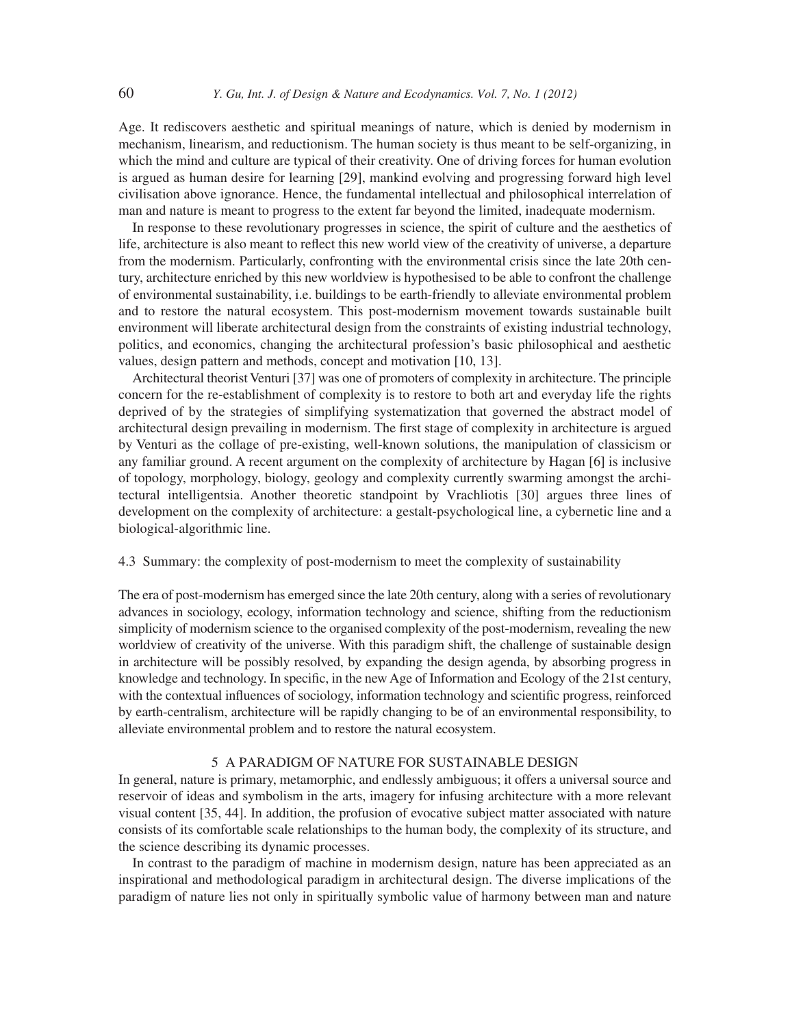Age. It rediscovers aesthetic and spiritual meanings of nature, which is denied by modernism in mechanism, linearism, and reductionism. The human society is thus meant to be self-organizing, in which the mind and culture are typical of their creativity. One of driving forces for human evolution is argued as human desire for learning [29], mankind evolving and progressing forward high level civilisation above ignorance. Hence, the fundamental intellectual and philosophical interrelation of man and nature is meant to progress to the extent far beyond the limited, inadequate modernism.

In response to these revolutionary progresses in science, the spirit of culture and the aesthetics of life, architecture is also meant to reflect this new world view of the creativity of universe, a departure from the modernism. Particularly, confronting with the environmental crisis since the late 20th century, architecture enriched by this new worldview is hypothesised to be able to confront the challenge of environmental sustainability, i.e. buildings to be earth-friendly to alleviate environmental problem and to restore the natural ecosystem. This post-modernism movement towards sustainable built environment will liberate architectural design from the constraints of existing industrial technology, politics, and economics, changing the architectural profession's basic philosophical and aesthetic values, design pattern and methods, concept and motivation [10, 13].

Architectural theorist Venturi [37] was one of promoters of complexity in architecture. The principle concern for the re-establishment of complexity is to restore to both art and everyday life the rights deprived of by the strategies of simplifying systematization that governed the abstract model of architectural design prevailing in modernism. The first stage of complexity in architecture is argued by Venturi as the collage of pre-existing, well-known solutions, the manipulation of classicism or any familiar ground. A recent argument on the complexity of architecture by Hagan [6] is inclusive of topology, morphology, biology, geology and complexity currently swarming amongst the architectural intelligentsia. Another theoretic standpoint by Vrachliotis [30] argues three lines of development on the complexity of architecture: a gestalt-psychological line, a cybernetic line and a biological-algorithmic line.

## 4.3 Summary: the complexity of post-modernism to meet the complexity of sustainability

The era of post-modernism has emerged since the late 20th century, along with a series of revolutionary advances in sociology, ecology, information technology and science, shifting from the reductionism simplicity of modernism science to the organised complexity of the post-modernism, revealing the new worldview of creativity of the universe. With this paradigm shift, the challenge of sustainable design in architecture will be possibly resolved, by expanding the design agenda, by absorbing progress in knowledge and technology. In specific, in the new Age of Information and Ecology of the 21st century, with the contextual influences of sociology, information technology and scientific progress, reinforced by earth-centralism, architecture will be rapidly changing to be of an environmental responsibility, to alleviate environmental problem and to restore the natural ecosystem.

# 5 A PARADIGM OF NATURE FOR SUSTAINABLE DESIGN

In general, nature is primary, metamorphic, and endlessly ambiguous; it offers a universal source and reservoir of ideas and symbolism in the arts, imagery for infusing architecture with a more relevant visual content [35, 44]. In addition, the profusion of evocative subject matter associated with nature consists of its comfortable scale relationships to the human body, the complexity of its structure, and the science describing its dynamic processes.

In contrast to the paradigm of machine in modernism design, nature has been appreciated as an inspirational and methodological paradigm in architectural design. The diverse implications of the paradigm of nature lies not only in spiritually symbolic value of harmony between man and nature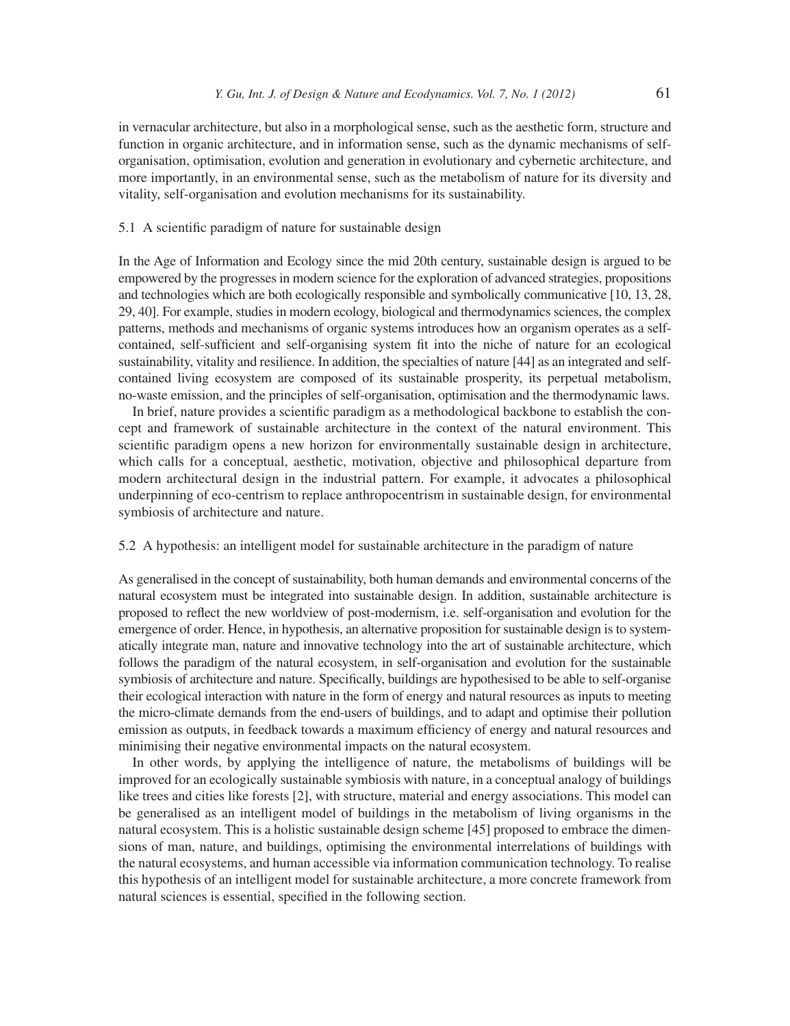in vernacular architecture, but also in a morphological sense, such as the aesthetic form, structure and function in organic architecture, and in information sense, such as the dynamic mechanisms of selforganisation, optimisation, evolution and generation in evolutionary and cybernetic architecture, and more importantly, in an environmental sense, such as the metabolism of nature for its diversity and vitality, self-organisation and evolution mechanisms for its sustainability.

# 5.1 A scientific paradigm of nature for sustainable design

In the Age of Information and Ecology since the mid 20th century, sustainable design is argued to be empowered by the progresses in modern science for the exploration of advanced strategies, propositions and technologies which are both ecologically responsible and symbolically communicative [10, 13, 28, 29, 40]. For example, studies in modern ecology, biological and thermodynamics sciences, the complex patterns, methods and mechanisms of organic systems introduces how an organism operates as a selfcontained, self-sufficient and self-organising system fit into the niche of nature for an ecological sustainability, vitality and resilience. In addition, the specialties of nature [44] as an integrated and selfcontained living ecosystem are composed of its sustainable prosperity, its perpetual metabolism, no-waste emission, and the principles of self-organisation, optimisation and the thermodynamic laws.

In brief, nature provides a scientific paradigm as a methodological backbone to establish the concept and framework of sustainable architecture in the context of the natural environment. This scientific paradigm opens a new horizon for environmentally sustainable design in architecture, which calls for a conceptual, aesthetic, motivation, objective and philosophical departure from modern architectural design in the industrial pattern. For example, it advocates a philosophical underpinning of eco-centrism to replace anthropocentrism in sustainable design, for environmental symbiosis of architecture and nature.

## 5.2 A hypothesis: an intelligent model for sustainable architecture in the paradigm of nature

As generalised in the concept of sustainability, both human demands and environmental concerns of the natural ecosystem must be integrated into sustainable design. In addition, sustainable architecture is proposed to reflect the new worldview of post-modernism, i.e. self-organisation and evolution for the emergence of order. Hence, in hypothesis, an alternative proposition for sustainable design is to systematically integrate man, nature and innovative technology into the art of sustainable architecture, which follows the paradigm of the natural ecosystem, in self-organisation and evolution for the sustainable symbiosis of architecture and nature. Specifically, buildings are hypothesised to be able to self-organise their ecological interaction with nature in the form of energy and natural resources as inputs to meeting the micro-climate demands from the end-users of buildings, and to adapt and optimise their pollution emission as outputs, in feedback towards a maximum efficiency of energy and natural resources and minimising their negative environmental impacts on the natural ecosystem.

In other words, by applying the intelligence of nature, the metabolisms of buildings will be improved for an ecologically sustainable symbiosis with nature, in a conceptual analogy of buildings like trees and cities like forests [2], with structure, material and energy associations. This model can be generalised as an intelligent model of buildings in the metabolism of living organisms in the natural ecosystem. This is a holistic sustainable design scheme [45] proposed to embrace the dimensions of man, nature, and buildings, optimising the environmental interrelations of buildings with the natural ecosystems, and human accessible via information communication technology. To realise this hypothesis of an intelligent model for sustainable architecture, a more concrete framework from natural sciences is essential, specified in the following section.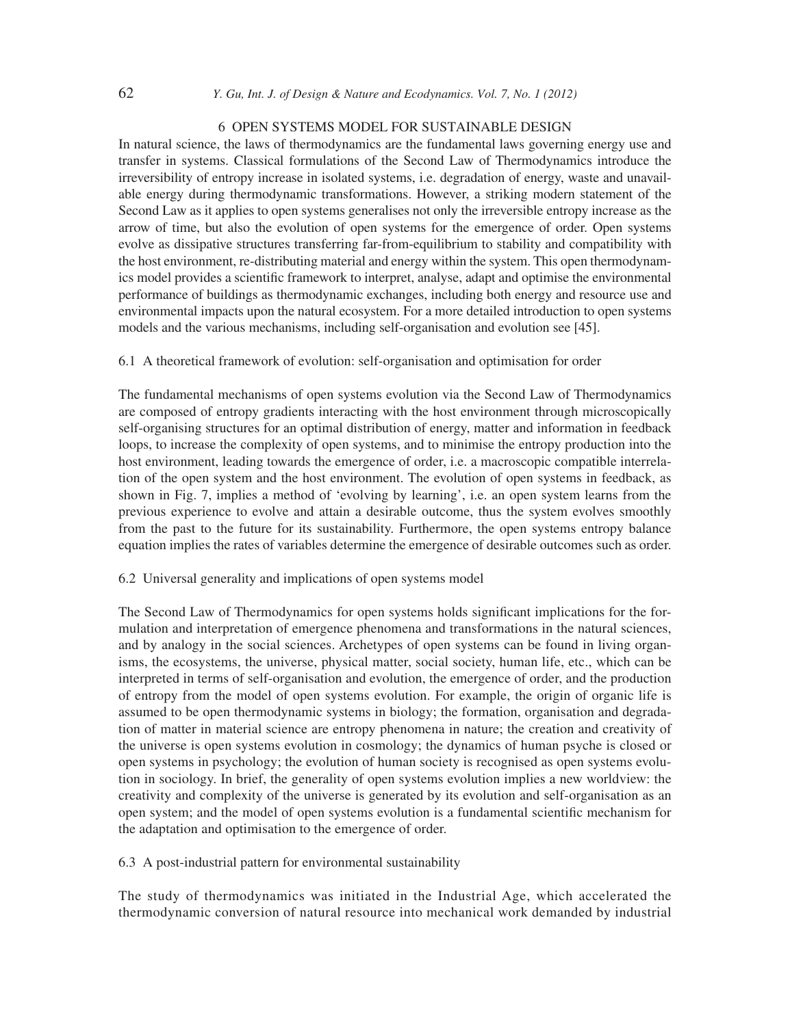#### 6 OPEN SYSTEMS MODEL FOR SUSTAINABLE DESIGN

In natural science, the laws of thermodynamics are the fundamental laws governing energy use and transfer in systems. Classical formulations of the Second Law of Thermodynamics introduce the irreversibility of entropy increase in isolated systems, i.e. degradation of energy, waste and unavailable energy during thermodynamic transformations. However, a striking modern statement of the Second Law as it applies to open systems generalise s not only the irreversible entropy increase as the arrow of time, but also the evolution of open systems for the emergence of order. Open systems evolve as dissipative structures transferring far-from-equilibrium to stability and compatibility with the host environment, re-distributing material and energy within the system. This open thermodynamics model provides a scientific framework to interpret, analyse, adapt and optimise the environmental performance of buildings as thermodynamic exchanges, including both energy and resource use and environmental impacts upon the natural ecosystem. For a more detailed introduction to open systems models and the various mechanisms, including self-organisation and evolution see [45].

# 6.1 A theoretical framework of evolution: self-organisation and optimisation for order

The fundamental mechanisms of open systems evolution via the Second Law of Thermodynamics are composed of entropy gradients interacting with the host environment through microscopically self-organising structures for an optimal distribution of energy, matter and information in feedback loops, to increase the complexity of open systems, and to minimise the entropy production into the host environment, leading towards the emergence of order, i.e. a macroscopic compatible interrelation of the open system and the host environment. The evolution of open systems in feedback, as shown in Fig. 7, implies a method of 'evolving by learning', i.e. an open system learns from the previous experience to evolve and attain a desirable outcome, thus the system evolves smoothly from the past to the future for its sustainability. Furthermore, the open systems entropy balance equation implies the rates of variables determine the emergence of desirable outcomes such as order.

# 6.2 Universal generality and implications of open systems model

The Second Law of Thermodynamics for open systems holds significant implications for the formulation and interpretation of emergence phenomena and transformations in the natural sciences, and by analogy in the social sciences. Archetypes of open systems can be found in living organisms, the ecosystems, the universe, physical matter, social society, human life, etc., which can be interpreted in terms of self-organisation and evolution, the emergence of order, and the production of entropy from the model of open systems evolution. For example, the origin of organic life is assumed to be open thermodynamic systems in biology; the formation, organisation and degradation of matter in material science are entropy phenomena in nature; the creation and creativity of the universe is open systems evolution in cosmology; the dynamics of human psyche is closed or open systems in psychology; the evolution of human society is recognised as open systems evolution in sociology. In brief, the generality of open systems evolution implies a new worldview: the creativity and complexity of the universe is generated by its evolution and self-organisation as an open system; and the model of open systems evolution is a fundamental scientific mechanism for the adaptation and optimisation to the emergence of order.

6.3 A post-industrial pattern for environmental sustainability

The study of thermodynamics was initiated in the Industrial Age, which accelerated the thermodynamic conversion of natural resource into mechanical work demanded by industrial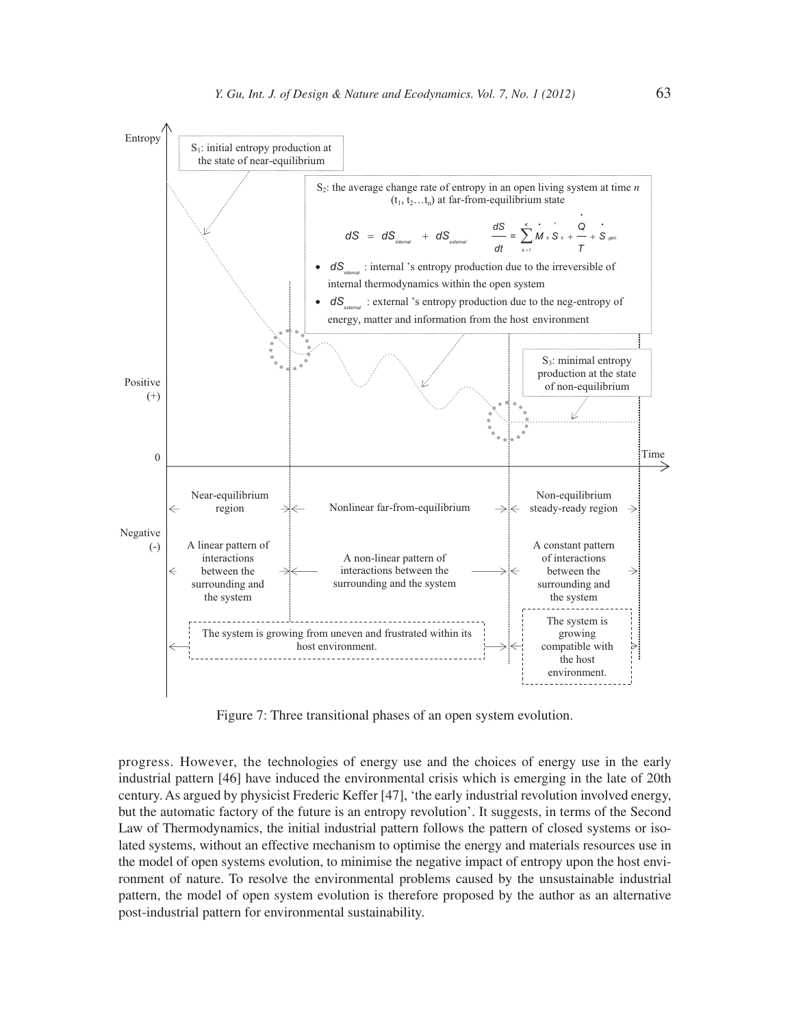

Figure 7: Three transitional phases of an open system evolution.

progress. However, the technologies of energy use and the choices of energy use in the early industrial pattern [46] have induced the environmental crisis which is emerging in the late of 20th century. As argued by physicist Frederic Keffer [47], 'the early industrial revolution involved energy, but the automatic factory of the future is an entropy revolution'. It suggests, in terms of the Second Law of Thermodynamics, the initial industrial pattern follows the pattern of closed systems or isolated systems, without an effective mechanism to optimise the energy and materials resources use in the model of open systems evolution, to minimise the negative impact of entropy upon the host environment of nature. To resolve the environmental problems caused by the unsustainable industrial pattern, the model of open system evolution is therefore proposed by the author as an alternative post-industrial pattern for environmental sustainability.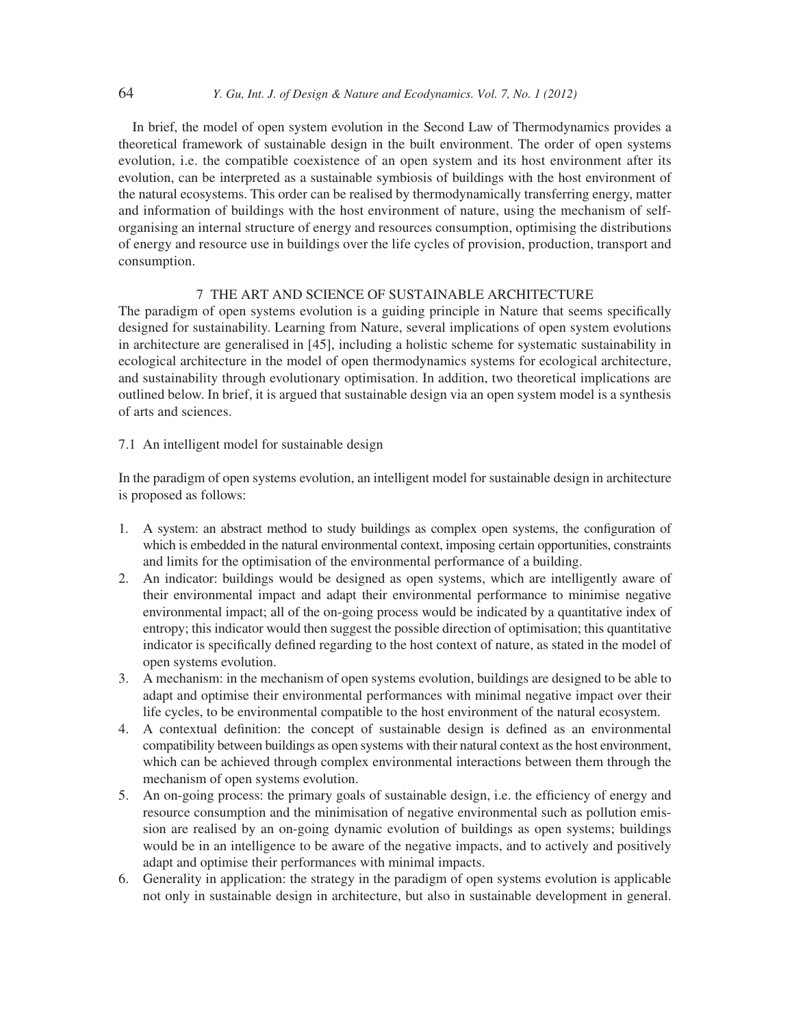In brief, the model of open system evolution in the Second Law of Thermodynamics provides a theoretical framework of sustainable design in the built environment. The order of open systems evolution, i.e. the compatible coexistence of an open system and its host environment after its evolution, can be interpreted as a sustainable symbiosis of buildings with the host environment of the natural ecosystems. This order can be realised by thermodynamically transferring energy, matter and information of buildings with the host environment of nature, using the mechanism of selforganising an internal structure of energy and resources consumption, optimising the distributions of energy and resource use in buildings over the life cycles of provision, production, transport and consumption.

## 7 THE ART AND SCIENCE OF SUSTAINABLE ARCHITECTURE

The paradigm of open systems evolution is a guiding principle in Nature that seems specifically designed for sustainability. Learning from Nature, several implications of open system evolutions in architecture are generalised in [45], including a holistic scheme for systematic sustainability in ecological architecture in the model of open thermodynamics systems for ecological architecture, and sustainability through evolutionary optimisation. In addition, two theoretical implications are outlined below. In brief, it is argued that sustainable design via an open system model is a synthesis of arts and sciences.

## 7.1 An intelligent model for sustainable design

In the paradigm of open systems evolution, an intelligent model for sustainable design in architecture is proposed as follows:

- 1. A system: an abstract method to study buildings as complex open systems, the configuration of which is embedded in the natural environmental context, imposing certain opportunities, constraints and limits for the optimisation of the environmental performance of a building.
- 2. An indicator: buildings would be designed as open systems, which are intelligently aware of their environmental impact and adapt their environmental performance to minimise negative environmental impact; all of the on-going process would be indicated by a quantitative index of entropy; this indicator would then suggest the possible direction of optimisation; this quantitative indicator is specifically defined regarding to the host context of nature, as stated in the model of open systems evolution.
- 3. A mechanism: in the mechanism of open systems evolution, buildings are designed to be able to adapt and optimise their environmental performances with minimal negative impact over their life cycles, to be environmental compatible to the host environment of the natural ecosystem.
- 4. A contextual definition: the concept of sustainable design is defined as an environmental compatibility between buildings as open systems with their natural context as the host environment, which can be achieved through complex environmental interactions between them through the mechanism of open systems evolution.
- 5. An on-going process: the primary goals of sustainable design, i.e. the efficiency of energy and resource consumption and the minimisation of negative environmental such as pollution emission are realised by an on-going dynamic evolution of buildings as open systems; buildings would be in an intelligence to be aware of the negative impacts, and to actively and positively adapt and optimise their performances with minimal impacts.
- 6. Generality in application: the strategy in the paradigm of open systems evolution is applicable not only in sustainable design in architecture, but also in sustainable development in general.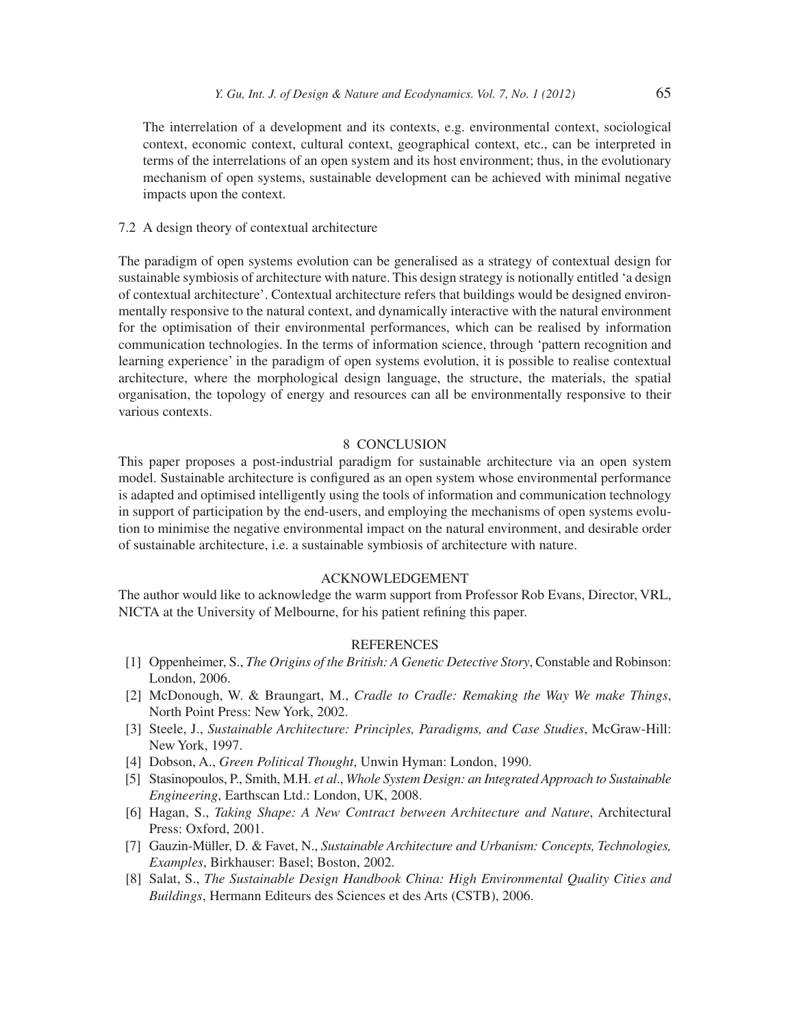The interrelation of a development and its contexts, e.g. environmental context, sociological context, economic context, cultural context, geographical context, etc., can be interpreted in terms of the interrelations of an open system and its host environment; thus, in the evolutionary mechanism of open systems, sustainable development can be achieved with minimal negative impacts upon the context.

## 7.2 A design theory of contextual architecture

The paradigm of open systems evolution can be generalised as a strategy of contextual design for sustainable symbiosis of architecture with nature. This design strategy is notionally entitled 'a design of contextual architecture'. Contextual architecture refers that buildings would be designed environmentally responsive to the natural context, and dynamically interactive with the natural environment for the optimisation of their environmental performances, which can be realised by information communication technologies. In the terms of information science, through 'pattern recognition and learning experience' in the paradigm of open systems evolution, it is possible to realise contextual architecture, where the morphological design language, the structure, the materials, the spatial organisation, the topology of energy and resources can all be environmentally responsive to their various contexts.

## 8 CONCLUSION

This paper proposes a post-industrial paradigm for sustainable architecture via an open system model. Sustainable architecture is configured as an open system whose environmental performance is adapted and optimised intelligently using the tools of information and communication technology in support of participation by the end-users, and employing the mechanisms of open systems evolution to minimise the negative environmental impact on the natural environment, and desirable order of sustainable architecture, i.e. a sustainable symbiosis of architecture with nature.

## ACKNOWLEDGEMENT

The author would like to acknowledge the warm support from Professor Rob Evans, Director, VRL, NICTA at the University of Melbourne, for his patient refining this paper.

## REFERENCES

- [1] Oppenheimer, S., *The Origins of the British: A Genetic Detective Story*, Constable and Robinson: London, 2006.
- [2] McDonough, W. & Braungart, M., *Cradle to Cradle: Remaking the Way We make Things*, North Point Press: New York, 2002.
- [3] Steele, J., *Sustainable Architecture: Principles, Paradigms, and Case Studies*, McGraw-Hill: New York, 1997.
- [4] Dobson, A., *Green Political Thought*, Unwin Hyman: London, 1990.
- [5] Stasinopoulos, P., Smith, M.H. *et al*., *Whole System Design: an Integrated Approach to Sustainable Engineering*, Earthscan Ltd.: London, UK, 2008.
- [6] Hagan, S., *Taking Shape: A New Contract between Architecture and Nature*, Architectural Press: Oxford, 2001.
- [7] Gauzin-Müller, D. & Favet, N., *Sustainable Architecture and Urbanism: Concepts, Technologies, Examples*, Birkhauser: Basel; Boston, 2002.
- [8] Salat, S., *The Sustainable Design Handbook China: High Environmental Quality Cities and Buildings*, Hermann Editeurs des Sciences et des Arts (CSTB), 2006.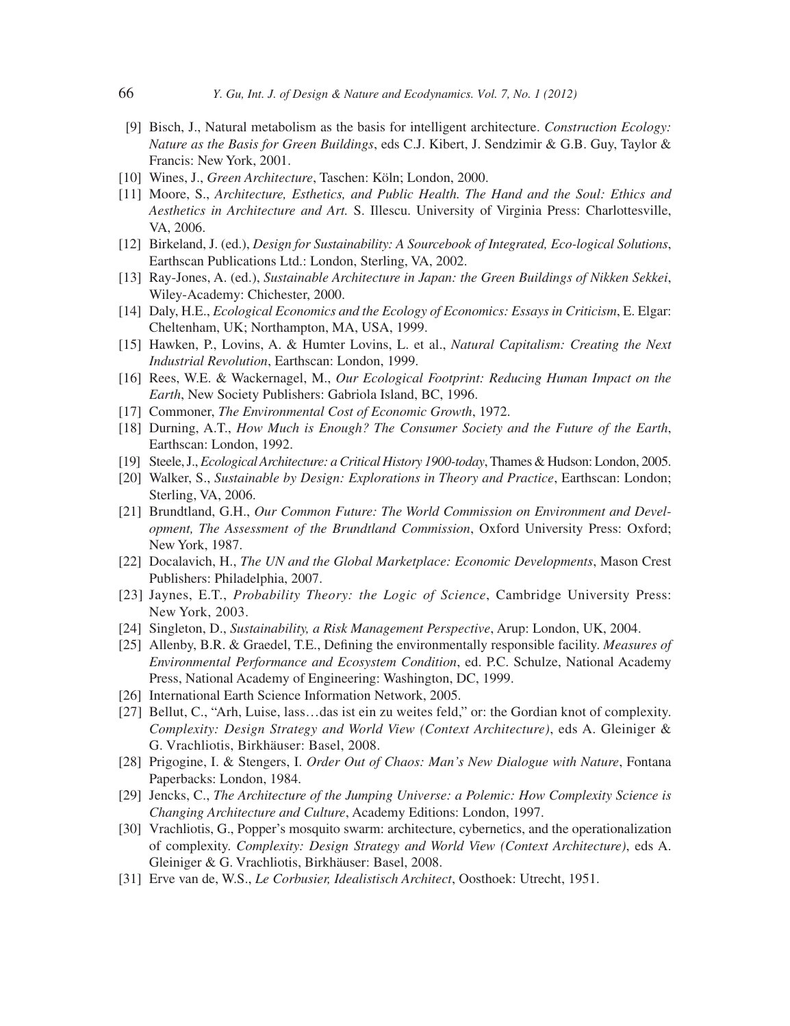- [9] Bisch, J., Natural metabolism as the basis for intelligent architecture. *Construction Ecology: Nature as the Basis for Green Buildings*, eds C.J. Kibert, J. Sendzimir & G.B. Guy, Taylor & Francis: New York, 2001.
- [10] Wines, J., *Green Architecture*, Taschen: Köln; London, 2000.
- [11] Moore, S., *Architecture, Esthetics, and Public Health. The Hand and the Soul: Ethics and Aesthetics in Architecture and Art.* S. Illescu. University of Virginia Press: Charlottesville, VA, 2006.
- [12] Birkeland, J. (ed.), *Design for Sustainability: A Sourcebook of Integrated, Eco-logical Solutions*, Earthscan Publications Ltd.: London, Sterling, VA, 2002.
- [13] Ray-Jones, A. (ed.), *Sustainable Architecture in Japan: the Green Buildings of Nikken Sekkei*, Wiley-Academy: Chichester, 2000.
- [14] Daly, H.E., *Ecological Economics and the Ecology of Economics: Essays in Criticism*, E. Elgar: Cheltenham, UK; Northampton, MA, USA, 1999.
- [15] Hawken, P., Lovins, A. & Humter Lovins, L. et al., *Natural Capitalism: Creating the Next Industrial Revolution*, Earthscan: London, 1999.
- [16] Rees, W.E. & Wackernagel, M., *Our Ecological Footprint: Reducing Human Impact on the Earth*, New Society Publishers: Gabriola Island, BC, 1996.
- [17] Commoner, *The Environmental Cost of Economic Growth*, 1972.
- [18] Durning, A.T., *How Much is Enough? The Consumer Society and the Future of the Earth*, Earthscan: London, 1992.
- [19] Steele, J., *Ecological Architecture: a Critical History 1900-today*, Thames & Hudson: London, 2005.
- [20] Walker, S., *Sustainable by Design: Explorations in Theory and Practice*, Earthscan: London; Sterling, VA, 2006.
- [21] Brundtland, G.H., *Our Common Future: The World Commission on Environment and Development, The Assessment of the Brundtland Commission*, Oxford University Press: Oxford; New York, 1987.
- [22] Docalavich, H., *The UN and the Global Marketplace: Economic Developments*, Mason Crest Publishers: Philadelphia, 2007.
- [23] Jaynes, E.T., *Probability Theory: the Logic of Science*, Cambridge University Press: New York, 2003.
- [24] Singleton, D., *Sustainability, a Risk Management Perspective*, Arup: London, UK, 2004.
- [25] Allenby, B.R. & Graedel, T.E., Defining the environmentally responsible facility. *Measures of Environmental Performance and Ecosystem Condition*, ed. P.C. Schulze, National Academy Press, National Academy of Engineering: Washington, DC, 1999.
- [26] International Earth Science Information Network, 2005.
- [27] Bellut, C., "Arh, Luise, lass…das ist ein zu weites feld," or: the Gordian knot of complexity. *Complexity: Design Strategy and World View (Context Architecture)*, eds A. Gleiniger & G. Vrachliotis, Birkhäuser: Basel, 2008.
- [28] Prigogine, I. & Stengers, I. *Order Out of Chaos: Man's New Dialogue with Nature*, Fontana Paperbacks: London, 1984.
- [29] Jencks, C., *The Architecture of the Jumping Universe: a Polemic: How Complexity Science is Changing Architecture and Culture*, Academy Editions: London, 1997.
- [30] Vrachliotis, G., Popper's mosquito swarm: architecture, cybernetics, and the operationalization of complexity. *Complexity: Design Strategy and World View (Context Architecture)*, eds A. Gleiniger & G. Vrachliotis, Birkhäuser: Basel, 2008.
- [31] Erve van de, W.S., *Le Corbusier, Idealistisch Architect*, Oosthoek: Utrecht, 1951.